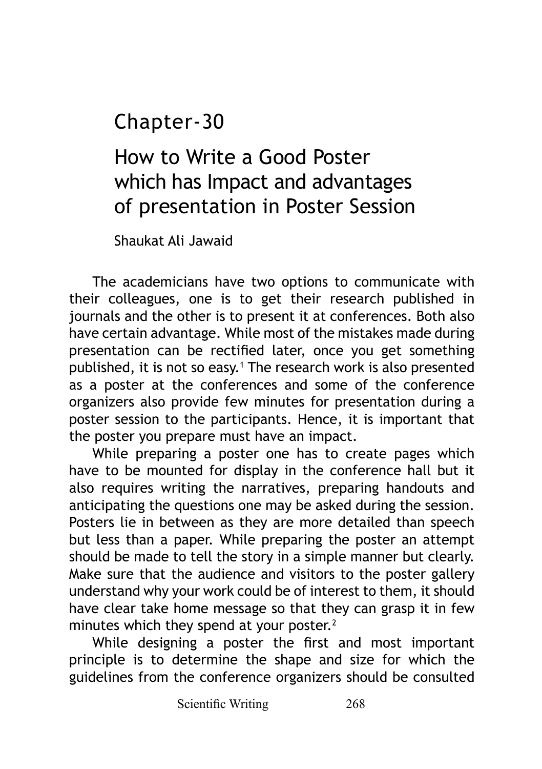Chapter-30

How to Write a Good Poster which has Impact and advantages of presentation in Poster Session

Shaukat Ali Jawaid

The academicians have two options to communicate with their colleagues, one is to get their research published in journals and the other is to present it at conferences. Both also have certain advantage. While most of the mistakes made during presentation can be rectified later, once you get something published, it is not so easy.<sup>1</sup> The research work is also presented as a poster at the conferences and some of the conference organizers also provide few minutes for presentation during a poster session to the participants. Hence, it is important that the poster you prepare must have an impact.

While preparing a poster one has to create pages which have to be mounted for display in the conference hall but it also requires writing the narratives, preparing handouts and anticipating the questions one may be asked during the session. Posters lie in between as they are more detailed than speech but less than a paper. While preparing the poster an attempt should be made to tell the story in a simple manner but clearly. Make sure that the audience and visitors to the poster gallery understand why your work could be of interest to them, it should have clear take home message so that they can grasp it in few minutes which they spend at your poster.<sup>2</sup>

While designing a poster the first and most important principle is to determine the shape and size for which the guidelines from the conference organizers should be consulted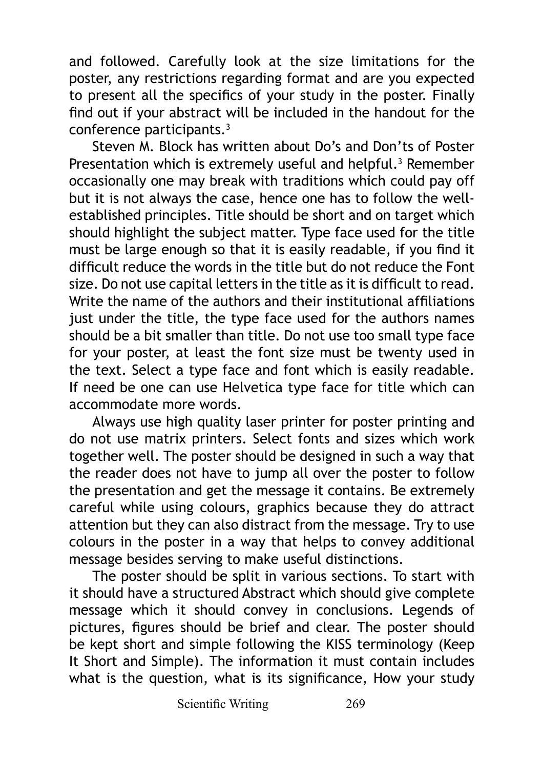and followed. Carefully look at the size limitations for the poster, any restrictions regarding format and are you expected to present all the specifics of your study in the poster. Finally find out if your abstract will be included in the handout for the conference participants.3

Steven M. Block has written about Do's and Don'ts of Poster Presentation which is extremely useful and helpful.<sup>3</sup> Remember occasionally one may break with traditions which could pay off but it is not always the case, hence one has to follow the wellestablished principles. Title should be short and on target which should highlight the subject matter. Type face used for the title must be large enough so that it is easily readable, if you find it difficult reduce the words in the title but do not reduce the Font size. Do not use capital letters in the title as it is difficult to read. Write the name of the authors and their institutional affiliations just under the title, the type face used for the authors names should be a bit smaller than title. Do not use too small type face for your poster, at least the font size must be twenty used in the text. Select a type face and font which is easily readable. If need be one can use Helvetica type face for title which can accommodate more words.

Always use high quality laser printer for poster printing and do not use matrix printers. Select fonts and sizes which work together well. The poster should be designed in such a way that the reader does not have to jump all over the poster to follow the presentation and get the message it contains. Be extremely careful while using colours, graphics because they do attract attention but they can also distract from the message. Try to use colours in the poster in a way that helps to convey additional message besides serving to make useful distinctions.

The poster should be split in various sections. To start with it should have a structured Abstract which should give complete message which it should convey in conclusions. Legends of pictures, figures should be brief and clear. The poster should be kept short and simple following the KISS terminology (Keep It Short and Simple). The information it must contain includes what is the question, what is its significance, How your study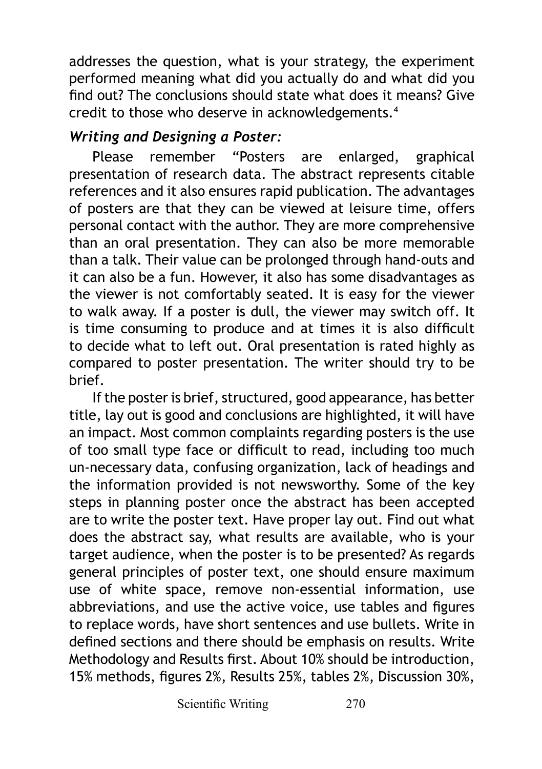addresses the question, what is your strategy, the experiment performed meaning what did you actually do and what did you find out? The conclusions should state what does it means? Give credit to those who deserve in acknowledgements.4

## *Writing and Designing a Poster:*

Please remember "Posters are enlarged, graphical presentation of research data. The abstract represents citable references and it also ensures rapid publication. The advantages of posters are that they can be viewed at leisure time, offers personal contact with the author. They are more comprehensive than an oral presentation. They can also be more memorable than a talk. Their value can be prolonged through hand-outs and it can also be a fun. However, it also has some disadvantages as the viewer is not comfortably seated. It is easy for the viewer to walk away. If a poster is dull, the viewer may switch off. It is time consuming to produce and at times it is also difficult to decide what to left out. Oral presentation is rated highly as compared to poster presentation. The writer should try to be brief.

If the poster is brief, structured, good appearance, has better title, lay out is good and conclusions are highlighted, it will have an impact. Most common complaints regarding posters is the use of too small type face or difficult to read, including too much un-necessary data, confusing organization, lack of headings and the information provided is not newsworthy. Some of the key steps in planning poster once the abstract has been accepted are to write the poster text. Have proper lay out. Find out what does the abstract say, what results are available, who is your target audience, when the poster is to be presented? As regards general principles of poster text, one should ensure maximum use of white space, remove non-essential information, use abbreviations, and use the active voice, use tables and figures to replace words, have short sentences and use bullets. Write in defined sections and there should be emphasis on results. Write Methodology and Results first. About 10% should be introduction, 15% methods, figures 2%, Results 25%, tables 2%, Discussion 30%,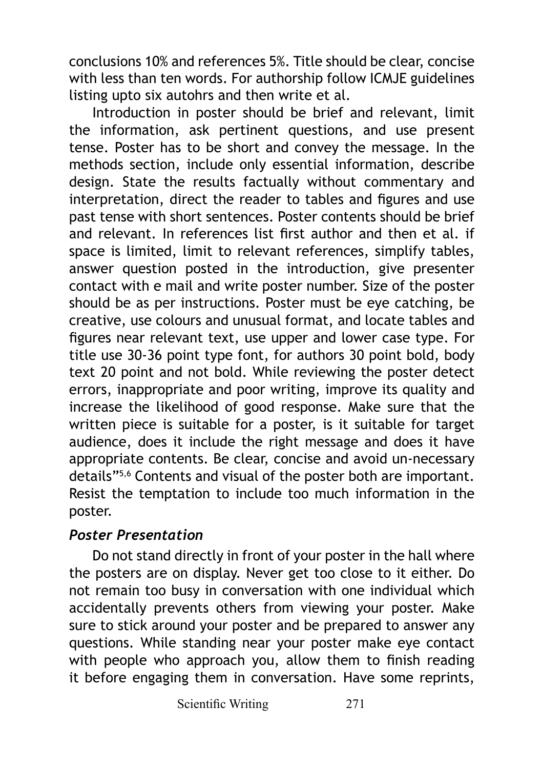conclusions 10% and references 5%. Title should be clear, concise with less than ten words. For authorship follow ICMJE guidelines listing upto six autohrs and then write et al.

Introduction in poster should be brief and relevant, limit the information, ask pertinent questions, and use present tense. Poster has to be short and convey the message. In the methods section, include only essential information, describe design. State the results factually without commentary and interpretation, direct the reader to tables and figures and use past tense with short sentences. Poster contents should be brief and relevant. In references list first author and then et al. if space is limited, limit to relevant references, simplify tables, answer question posted in the introduction, give presenter contact with e mail and write poster number. Size of the poster should be as per instructions. Poster must be eye catching, be creative, use colours and unusual format, and locate tables and figures near relevant text, use upper and lower case type. For title use 30-36 point type font, for authors 30 point bold, body text 20 point and not bold. While reviewing the poster detect errors, inappropriate and poor writing, improve its quality and increase the likelihood of good response. Make sure that the written piece is suitable for a poster, is it suitable for target audience, does it include the right message and does it have appropriate contents. Be clear, concise and avoid un-necessary details"5,6 Contents and visual of the poster both are important. Resist the temptation to include too much information in the poster.

## *Poster Presentation*

Do not stand directly in front of your poster in the hall where the posters are on display. Never get too close to it either. Do not remain too busy in conversation with one individual which accidentally prevents others from viewing your poster. Make sure to stick around your poster and be prepared to answer any questions. While standing near your poster make eye contact with people who approach you, allow them to finish reading it before engaging them in conversation. Have some reprints,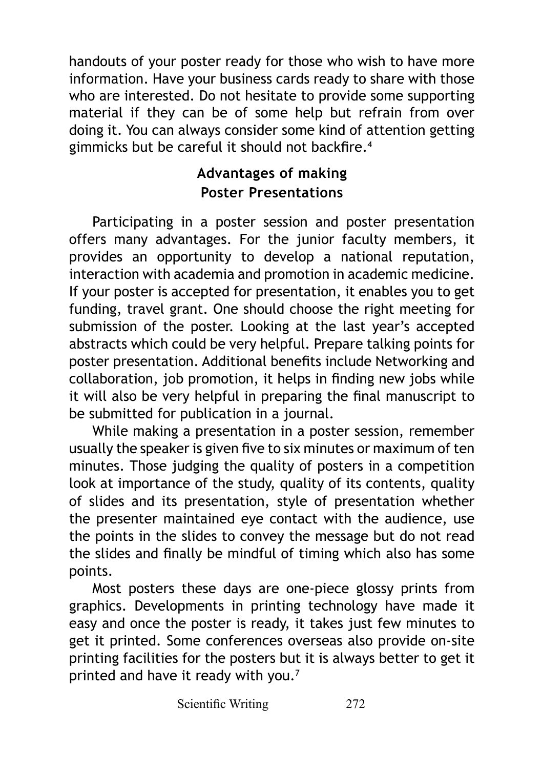handouts of your poster ready for those who wish to have more information. Have your business cards ready to share with those who are interested. Do not hesitate to provide some supporting material if they can be of some help but refrain from over doing it. You can always consider some kind of attention getting gimmicks but be careful it should not backfire.<sup>4</sup>

## **Advantages of making Poster Presentations**

Participating in a poster session and poster presentation offers many advantages. For the junior faculty members, it provides an opportunity to develop a national reputation, interaction with academia and promotion in academic medicine. If your poster is accepted for presentation, it enables you to get funding, travel grant. One should choose the right meeting for submission of the poster. Looking at the last year's accepted abstracts which could be very helpful. Prepare talking points for poster presentation. Additional benefits include Networking and collaboration, job promotion, it helps in finding new jobs while it will also be very helpful in preparing the final manuscript to be submitted for publication in a journal.

While making a presentation in a poster session, remember usually the speaker is given five to six minutes or maximum of ten minutes. Those judging the quality of posters in a competition look at importance of the study, quality of its contents, quality of slides and its presentation, style of presentation whether the presenter maintained eye contact with the audience, use the points in the slides to convey the message but do not read the slides and finally be mindful of timing which also has some points.

Most posters these days are one-piece glossy prints from graphics. Developments in printing technology have made it easy and once the poster is ready, it takes just few minutes to get it printed. Some conferences overseas also provide on-site printing facilities for the posters but it is always better to get it printed and have it ready with you.<sup>7</sup>